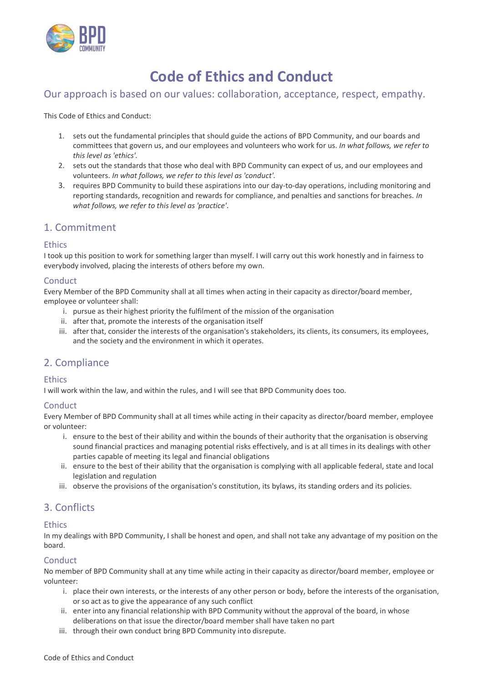

# **Code of Ethics and Conduct**

# Our approach is based on our values: collaboration, acceptance, respect, empathy.

This Code of Ethics and Conduct:

- 1. sets out the fundamental principles that should guide the actions of BPD Community, and our boards and committees that govern us, and our employees and volunteers who work for us. *In what follows, we refer to this level as 'ethics'.*
- 2. sets out the standards that those who deal with BPD Community can expect of us, and our employees and volunteers. *In what follows, we refer to this level as 'conduct'.*
- 3. requires BPD Community to build these aspirations into our day-to-day operations, including monitoring and reporting standards, recognition and rewards for compliance, and penalties and sanctions for breaches. *In what follows, we refer to this level as 'practice'.*

# 1. Commitment

## **Ethics**

I took up this position to work for something larger than myself. I will carry out this work honestly and in fairness to everybody involved, placing the interests of others before my own.

## **Conduct**

Every Member of the BPD Community shall at all times when acting in their capacity as director/board member, employee or volunteer shall:

- i. pursue as their highest priority the fulfilment of the mission of the organisation
- ii. after that, promote the interests of the organisation itself
- iii. after that, consider the interests of the organisation's stakeholders, its clients, its consumers, its employees, and the society and the environment in which it operates.

# 2. Compliance

## **Ethics**

I will work within the law, and within the rules, and I will see that BPD Community does too.

## **Conduct**

Every Member of BPD Community shall at all times while acting in their capacity as director/board member, employee or volunteer:

- i. ensure to the best of their ability and within the bounds of their authority that the organisation is observing sound financial practices and managing potential risks effectively, and is at all times in its dealings with other parties capable of meeting its legal and financial obligations
- ii. ensure to the best of their ability that the organisation is complying with all applicable federal, state and local legislation and regulation
- iii. observe the provisions of the organisation's constitution, its bylaws, its standing orders and its policies.

# 3. Conflicts

## Ethics

In my dealings with BPD Community, I shall be honest and open, and shall not take any advantage of my position on the board.

## **Conduct**

No member of BPD Community shall at any time while acting in their capacity as director/board member, employee or volunteer:

- i. place their own interests, or the interests of any other person or body, before the interests of the organisation, or so act as to give the appearance of any such conflict
- ii. enter into any financial relationship with BPD Community without the approval of the board, in whose deliberations on that issue the director/board member shall have taken no part
- iii. through their own conduct bring BPD Community into disrepute.